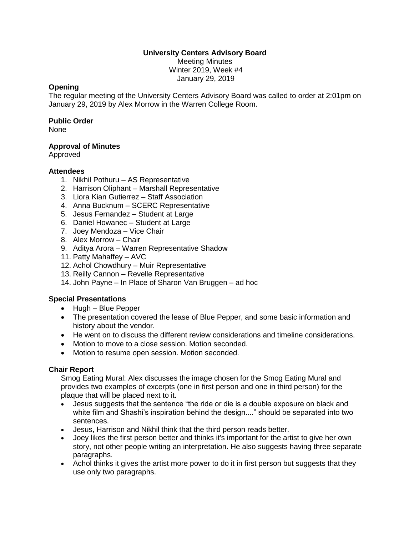## **University Centers Advisory Board**

Meeting Minutes Winter 2019, Week #4 January 29, 2019

### **Opening**

The regular meeting of the University Centers Advisory Board was called to order at 2:01pm on January 29, 2019 by Alex Morrow in the Warren College Room.

### **Public Order**

None

# **Approval of Minutes**

Approved

### **Attendees**

- 1. Nikhil Pothuru AS Representative
- 2. Harrison Oliphant Marshall Representative
- 3. Liora Kian Gutierrez Staff Association
- 4. Anna Bucknum SCERC Representative
- 5. Jesus Fernandez Student at Large
- 6. Daniel Howanec Student at Large
- 7. Joey Mendoza Vice Chair
- 8. Alex Morrow Chair
- 9. Aditya Arora Warren Representative Shadow
- 11. Patty Mahaffey AVC
- 12. Achol Chowdhury Muir Representative
- 13. Reilly Cannon Revelle Representative
- 14. John Payne In Place of Sharon Van Bruggen ad hoc

# **Special Presentations**

- Hugh Blue Pepper
- The presentation covered the lease of Blue Pepper, and some basic information and history about the vendor.
- He went on to discuss the different review considerations and timeline considerations.
- Motion to move to a close session. Motion seconded.
- Motion to resume open session. Motion seconded.

# **Chair Report**

Smog Eating Mural: Alex discusses the image chosen for the Smog Eating Mural and provides two examples of excerpts (one in first person and one in third person) for the plaque that will be placed next to it.

- Jesus suggests that the sentence "the ride or die is a double exposure on black and white film and Shashi's inspiration behind the design...." should be separated into two sentences.
- Jesus, Harrison and Nikhil think that the third person reads better.
- Joey likes the first person better and thinks it's important for the artist to give her own story, not other people writing an interpretation. He also suggests having three separate paragraphs.
- Achol thinks it gives the artist more power to do it in first person but suggests that they use only two paragraphs.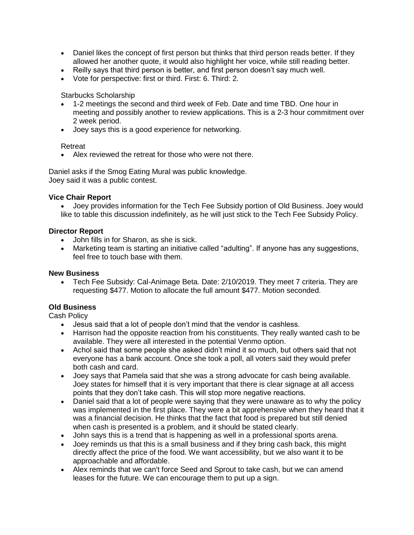- Daniel likes the concept of first person but thinks that third person reads better. If they allowed her another quote, it would also highlight her voice, while still reading better.
- Reilly says that third person is better, and first person doesn't say much well.
- Vote for perspective: first or third. First: 6. Third: 2.

Starbucks Scholarship

- 1-2 meetings the second and third week of Feb. Date and time TBD. One hour in meeting and possibly another to review applications. This is a 2-3 hour commitment over 2 week period.
- Joey says this is a good experience for networking.

### Retreat

• Alex reviewed the retreat for those who were not there.

Daniel asks if the Smog Eating Mural was public knowledge. Joey said it was a public contest.

### **Vice Chair Report**

• Joey provides information for the Tech Fee Subsidy portion of Old Business. Joey would like to table this discussion indefinitely, as he will just stick to the Tech Fee Subsidy Policy.

# **Director Report**

- John fills in for Sharon, as she is sick.
- Marketing team is starting an initiative called "adulting". If anyone has any suggestions, feel free to touch base with them.

#### **New Business**

• Tech Fee Subsidy: Cal-Animage Beta. Date: 2/10/2019. They meet 7 criteria. They are requesting \$477. Motion to allocate the full amount \$477. Motion seconded.

# **Old Business**

Cash Policy

- Jesus said that a lot of people don't mind that the vendor is cashless.
- Harrison had the opposite reaction from his constituents. They really wanted cash to be available. They were all interested in the potential Venmo option.
- Achol said that some people she asked didn't mind it so much, but others said that not everyone has a bank account. Once she took a poll, all voters said they would prefer both cash and card.
- Joey says that Pamela said that she was a strong advocate for cash being available. Joey states for himself that it is very important that there is clear signage at all access points that they don't take cash. This will stop more negative reactions.
- Daniel said that a lot of people were saying that they were unaware as to why the policy was implemented in the first place. They were a bit apprehensive when they heard that it was a financial decision. He thinks that the fact that food is prepared but still denied when cash is presented is a problem, and it should be stated clearly.
- John says this is a trend that is happening as well in a professional sports arena.
- Joey reminds us that this is a small business and if they bring cash back, this might directly affect the price of the food. We want accessibility, but we also want it to be approachable and affordable.
- Alex reminds that we can't force Seed and Sprout to take cash, but we can amend leases for the future. We can encourage them to put up a sign.